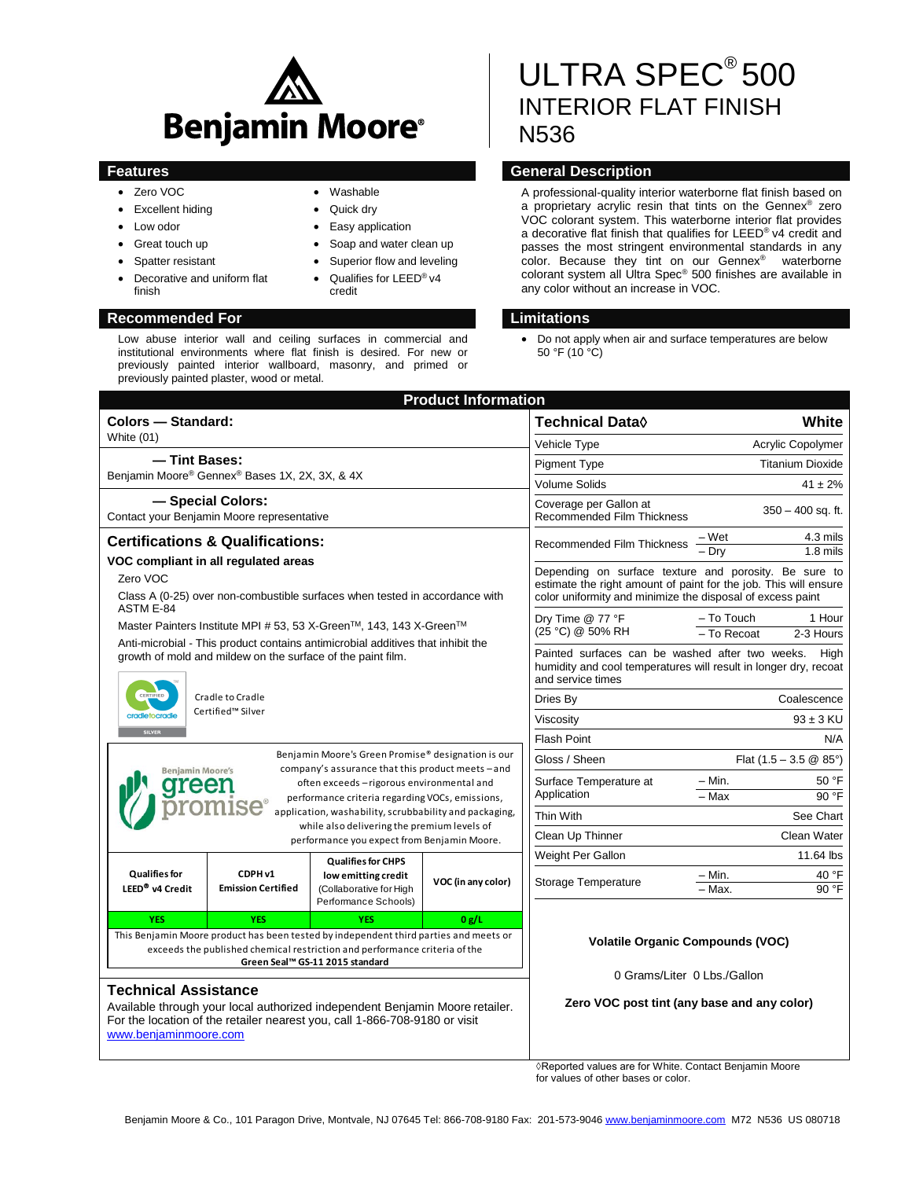

Low abuse interior wall and ceiling surfaces in commercial and institutional environments where flat finish is desired. For new or previously painted interior wallboard, masonry, and primed or

- Zero VOC
- Excellent hiding
- Low odor
- Great touch up
- Spatter resistant
- Decorative and uniform flat finish

previously painted plaster, wood or metal.

### **Recommended For Limitations**

### Washable

- Quick dry
- Easy application
- Soap and water clean up
- Superior flow and leveling
- Qualifies for LEED® v4 credit
- 

# ULTRA SPEC<sup>®</sup>500 INTERIOR FLAT FINISH N536

## **Features General Description**

A professional-quality interior waterborne flat finish based on a proprietary acrylic resin that tints on the Gennex® zero VOC colorant system. This waterborne interior flat provides a decorative flat finish that qualifies for LEED® v4 credit and passes the most stringent environmental standards in any color. Because they tint on our Gennex<sup>®</sup> waterborne colorant system all Ultra Spec® 500 finishes are available in any color without an increase in VOC.

 Do not apply when air and surface temperatures are below 50 °F (10 °C)

| <b>Product Information</b>                                                                                                                                                                                         |                                                 |                                                                        |                    |                                                                                                                                                                                         |                                                  |
|--------------------------------------------------------------------------------------------------------------------------------------------------------------------------------------------------------------------|-------------------------------------------------|------------------------------------------------------------------------|--------------------|-----------------------------------------------------------------------------------------------------------------------------------------------------------------------------------------|--------------------------------------------------|
| <b>Colors - Standard:</b>                                                                                                                                                                                          |                                                 |                                                                        |                    | <b>Technical Data</b> ♦                                                                                                                                                                 | White                                            |
| <b>White (01)</b>                                                                                                                                                                                                  |                                                 |                                                                        |                    | Vehicle Type                                                                                                                                                                            | Acrylic Copolymer                                |
| - Tint Bases:                                                                                                                                                                                                      |                                                 |                                                                        |                    | Pigment Type                                                                                                                                                                            | <b>Titanium Dioxide</b>                          |
| Benjamin Moore® Gennex® Bases 1X, 2X, 3X, & 4X                                                                                                                                                                     |                                                 |                                                                        |                    | <b>Volume Solids</b>                                                                                                                                                                    | $41 \pm 2\%$                                     |
| - Special Colors:<br>Contact your Benjamin Moore representative                                                                                                                                                    |                                                 |                                                                        |                    | Coverage per Gallon at<br><b>Recommended Film Thickness</b>                                                                                                                             | $350 - 400$ sq. ft.                              |
| <b>Certifications &amp; Qualifications:</b>                                                                                                                                                                        |                                                 |                                                                        |                    | Recommended Film Thickness                                                                                                                                                              | 4.3 mils<br>– Wet                                |
| VOC compliant in all regulated areas                                                                                                                                                                               |                                                 |                                                                        |                    |                                                                                                                                                                                         | $\overline{-\mathrm{Dry}}$<br>$1.8$ mils         |
| Zero VOC                                                                                                                                                                                                           |                                                 |                                                                        |                    | Depending on surface texture and porosity. Be sure to<br>estimate the right amount of paint for the job. This will ensure<br>color uniformity and minimize the disposal of excess paint |                                                  |
| Class A (0-25) over non-combustible surfaces when tested in accordance with<br>ASTM E-84                                                                                                                           |                                                 |                                                                        |                    |                                                                                                                                                                                         |                                                  |
| Master Painters Institute MPI # 53, 53 X-Green™, 143, 143 X-Green™                                                                                                                                                 |                                                 |                                                                        |                    | Dry Time @ 77 °F<br>(25 °C) @ 50% RH                                                                                                                                                    | – To Touch<br>1 Hour<br>- To Recoat<br>2-3 Hours |
| Anti-microbial - This product contains antimicrobial additives that inhibit the<br>growth of mold and mildew on the surface of the paint film.                                                                     |                                                 |                                                                        |                    | Painted surfaces can be washed after two weeks.<br>Hiah<br>humidity and cool temperatures will result in longer dry, recoat<br>and service times                                        |                                                  |
| CERTIFIED<br>Cradle to Cradle                                                                                                                                                                                      |                                                 |                                                                        | Dries By           | Coalescence                                                                                                                                                                             |                                                  |
| Certified™ Silver<br>cradletocradle<br><b>SILVER</b>                                                                                                                                                               |                                                 |                                                                        |                    | Viscosity                                                                                                                                                                               | $93 \pm 3$ KU                                    |
|                                                                                                                                                                                                                    |                                                 |                                                                        |                    | <b>Flash Point</b><br>N/A                                                                                                                                                               |                                                  |
| Benjamin Moore's Green Promise® designation is our<br>company's assurance that this product meets - and<br><b>Benjamin Moore's</b><br>often exceeds - rigorous environmental and<br>greer                          |                                                 |                                                                        |                    | Gloss / Sheen                                                                                                                                                                           | Flat $(1.5 - 3.5 \& 85^{\circ})$                 |
|                                                                                                                                                                                                                    |                                                 |                                                                        |                    | Surface Temperature at                                                                                                                                                                  | - Min.<br>50 °F                                  |
|                                                                                                                                                                                                                    |                                                 | performance criteria regarding VOCs, emissions,                        | Application        | 90 °F<br>- Max                                                                                                                                                                          |                                                  |
| application, washability, scrubbability and packaging,<br>while also delivering the premium levels of                                                                                                              |                                                 |                                                                        |                    | <b>Thin With</b>                                                                                                                                                                        | See Chart                                        |
| performance you expect from Benjamin Moore.                                                                                                                                                                        |                                                 |                                                                        | Clean Up Thinner   | Clean Water                                                                                                                                                                             |                                                  |
|                                                                                                                                                                                                                    |                                                 | <b>Qualifies for CHPS</b>                                              |                    | Weight Per Gallon                                                                                                                                                                       | 11.64 lbs                                        |
| <b>Qualifies for</b><br>LEED <sup>®</sup> v4 Credit                                                                                                                                                                | CDPH <sub>v1</sub><br><b>Emission Certified</b> | low emitting credit<br>(Collaborative for High<br>Performance Schools) | VOC (in any color) | Storage Temperature                                                                                                                                                                     | 40 °F<br>- Min.                                  |
|                                                                                                                                                                                                                    |                                                 |                                                                        |                    |                                                                                                                                                                                         | 90 °F<br>- Max.                                  |
| <b>YES</b>                                                                                                                                                                                                         | <b>YES</b>                                      | <b>YES</b>                                                             | 0 g/L              |                                                                                                                                                                                         |                                                  |
| This Benjamin Moore product has been tested by independent third parties and meets or<br>exceeds the published chemical restriction and performance criteria of the<br>Green Seal™ GS-11 2015 standard             |                                                 |                                                                        |                    | <b>Volatile Organic Compounds (VOC)</b><br>0 Grams/Liter 0 Lbs./Gallon<br>Zero VOC post tint (any base and any color)                                                                   |                                                  |
| <b>Technical Assistance</b><br>Available through your local authorized independent Benjamin Moore retailer.<br>For the location of the retailer nearest you, call 1-866-708-9180 or visit<br>www.beniaminmoore.com |                                                 |                                                                        |                    |                                                                                                                                                                                         |                                                  |

◊Reported values are for White. Contact Benjamin Moore for values of other bases or color.